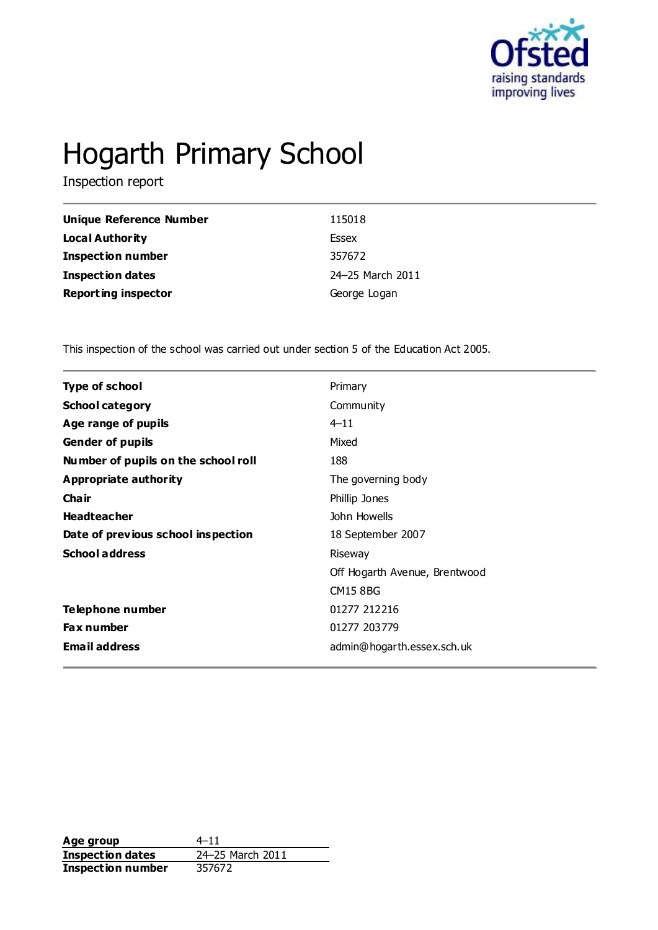

# Hogarth Primary School

Inspection report

| Unique Reference Number    | 115018           |
|----------------------------|------------------|
| Local Authority            | Essex            |
| <b>Inspection number</b>   | 357672           |
| <b>Inspection dates</b>    | 24-25 March 2011 |
| <b>Reporting inspector</b> | George Logan     |

This inspection of the school was carried out under section 5 of the Education Act 2005.

| <b>Type of school</b>               | Primary                       |
|-------------------------------------|-------------------------------|
| <b>School category</b>              | Community                     |
| Age range of pupils                 | $4 - 11$                      |
| <b>Gender of pupils</b>             | Mixed                         |
| Number of pupils on the school roll | 188                           |
| Appropriate authority               | The governing body            |
| Cha ir                              | Phillip Jones                 |
| <b>Headteacher</b>                  | John Howells                  |
| Date of previous school inspection  | 18 September 2007             |
| <b>School address</b>               | Riseway                       |
|                                     | Off Hogarth Avenue, Brentwood |
|                                     | <b>CM15 8BG</b>               |
| Telephone number                    | 01277 212216                  |
| <b>Fax number</b>                   | 01277 203779                  |
| <b>Email address</b>                | admin@hogarth.essex.sch.uk    |
|                                     |                               |

**Age group** 4–11<br> **Inspection dates** 24–25 March 2011 **Inspection dates** 24–25 M<br>**Inspection number** 357672 **Inspection number**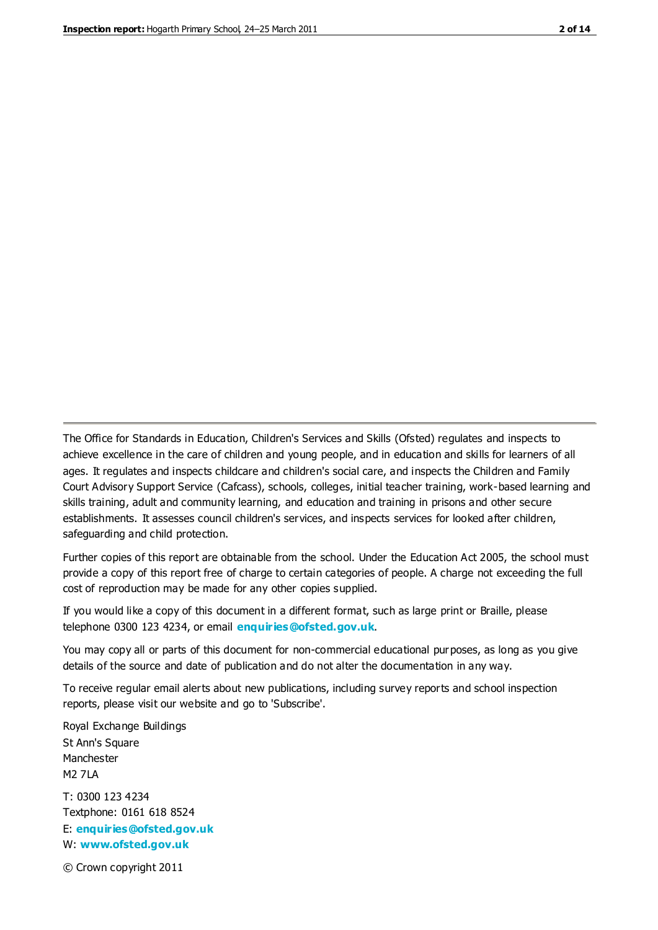The Office for Standards in Education, Children's Services and Skills (Ofsted) regulates and inspects to achieve excellence in the care of children and young people, and in education and skills for learners of all ages. It regulates and inspects childcare and children's social care, and inspects the Children and Family Court Advisory Support Service (Cafcass), schools, colleges, initial teacher training, work-based learning and skills training, adult and community learning, and education and training in prisons and other secure establishments. It assesses council children's services, and inspects services for looked after children, safeguarding and child protection.

Further copies of this report are obtainable from the school. Under the Education Act 2005, the school must provide a copy of this report free of charge to certain categories of people. A charge not exceeding the full cost of reproduction may be made for any other copies supplied.

If you would like a copy of this document in a different format, such as large print or Braille, please telephone 0300 123 4234, or email **[enquiries@ofsted.gov.uk](mailto:enquiries@ofsted.gov.uk)**.

You may copy all or parts of this document for non-commercial educational purposes, as long as you give details of the source and date of publication and do not alter the documentation in any way.

To receive regular email alerts about new publications, including survey reports and school inspection reports, please visit our website and go to 'Subscribe'.

Royal Exchange Buildings St Ann's Square Manchester M2 7LA T: 0300 123 4234 Textphone: 0161 618 8524 E: **[enquiries@ofsted.gov.uk](mailto:enquiries@ofsted.gov.uk)**

W: **[www.ofsted.gov.uk](http://www.ofsted.gov.uk/)**

© Crown copyright 2011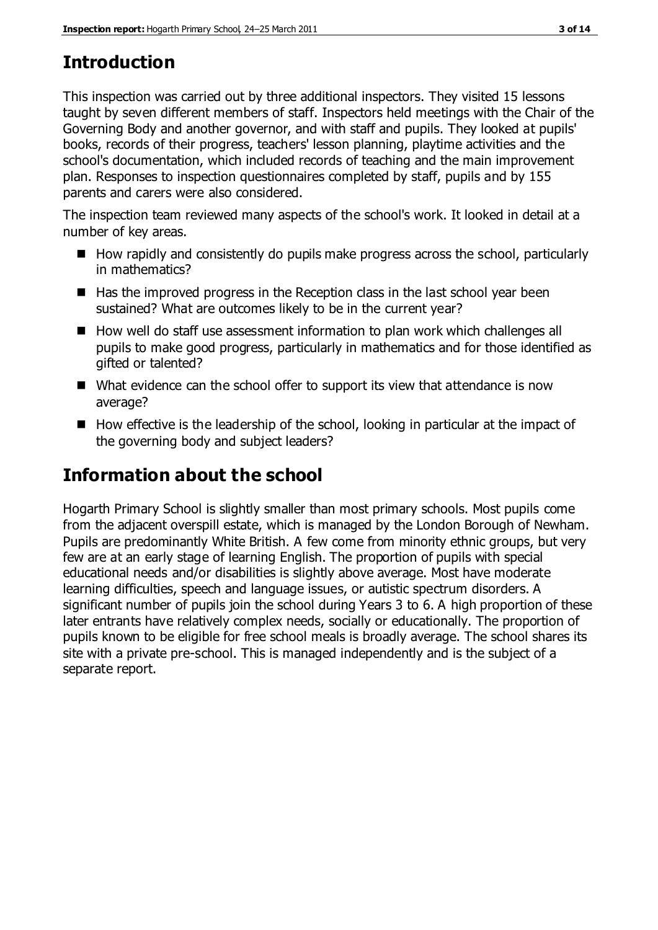# **Introduction**

This inspection was carried out by three additional inspectors. They visited 15 lessons taught by seven different members of staff. Inspectors held meetings with the Chair of the Governing Body and another governor, and with staff and pupils. They looked at pupils' books, records of their progress, teachers' lesson planning, playtime activities and the school's documentation, which included records of teaching and the main improvement plan. Responses to inspection questionnaires completed by staff, pupils and by 155 parents and carers were also considered.

The inspection team reviewed many aspects of the school's work. It looked in detail at a number of key areas.

- $\blacksquare$  How rapidly and consistently do pupils make progress across the school, particularly in mathematics?
- $\blacksquare$  Has the improved progress in the Reception class in the last school year been sustained? What are outcomes likely to be in the current year?
- How well do staff use assessment information to plan work which challenges all pupils to make good progress, particularly in mathematics and for those identified as gifted or talented?
- What evidence can the school offer to support its view that attendance is now average?
- $\blacksquare$  How effective is the leadership of the school, looking in particular at the impact of the governing body and subject leaders?

# **Information about the school**

Hogarth Primary School is slightly smaller than most primary schools. Most pupils come from the adjacent overspill estate, which is managed by the London Borough of Newham. Pupils are predominantly White British. A few come from minority ethnic groups, but very few are at an early stage of learning English. The proportion of pupils with special educational needs and/or disabilities is slightly above average. Most have moderate learning difficulties, speech and language issues, or autistic spectrum disorders. A significant number of pupils join the school during Years 3 to 6. A high proportion of these later entrants have relatively complex needs, socially or educationally. The proportion of pupils known to be eligible for free school meals is broadly average. The school shares its site with a private pre-school. This is managed independently and is the subject of a separate report.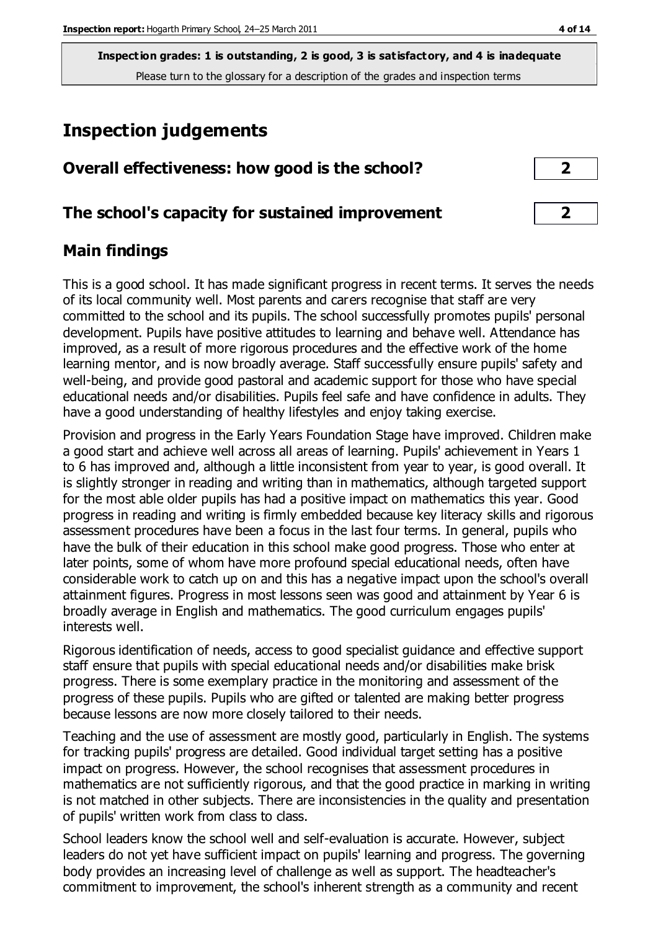# **Inspection judgements**

| Overall effectiveness: how good is the school?  |  |
|-------------------------------------------------|--|
| The school's capacity for sustained improvement |  |

## **Main findings**

This is a good school. It has made significant progress in recent terms. It serves the needs of its local community well. Most parents and carers recognise that staff are very committed to the school and its pupils. The school successfully promotes pupils' personal development. Pupils have positive attitudes to learning and behave well. Attendance has improved, as a result of more rigorous procedures and the effective work of the home learning mentor, and is now broadly average. Staff successfully ensure pupils' safety and well-being, and provide good pastoral and academic support for those who have special educational needs and/or disabilities. Pupils feel safe and have confidence in adults. They have a good understanding of healthy lifestyles and enjoy taking exercise.

Provision and progress in the Early Years Foundation Stage have improved. Children make a good start and achieve well across all areas of learning. Pupils' achievement in Years 1 to 6 has improved and, although a little inconsistent from year to year, is good overall. It is slightly stronger in reading and writing than in mathematics, although targeted support for the most able older pupils has had a positive impact on mathematics this year. Good progress in reading and writing is firmly embedded because key literacy skills and rigorous assessment procedures have been a focus in the last four terms. In general, pupils who have the bulk of their education in this school make good progress. Those who enter at later points, some of whom have more profound special educational needs, often have considerable work to catch up on and this has a negative impact upon the school's overall attainment figures. Progress in most lessons seen was good and attainment by Year 6 is broadly average in English and mathematics. The good curriculum engages pupils' interests well.

Rigorous identification of needs, access to good specialist guidance and effective support staff ensure that pupils with special educational needs and/or disabilities make brisk progress. There is some exemplary practice in the monitoring and assessment of the progress of these pupils. Pupils who are gifted or talented are making better progress because lessons are now more closely tailored to their needs.

Teaching and the use of assessment are mostly good, particularly in English. The systems for tracking pupils' progress are detailed. Good individual target setting has a positive impact on progress. However, the school recognises that assessment procedures in mathematics are not sufficiently rigorous, and that the good practice in marking in writing is not matched in other subjects. There are inconsistencies in the quality and presentation of pupils' written work from class to class.

School leaders know the school well and self-evaluation is accurate. However, subject leaders do not yet have sufficient impact on pupils' learning and progress. The governing body provides an increasing level of challenge as well as support. The headteacher's commitment to improvement, the school's inherent strength as a community and recent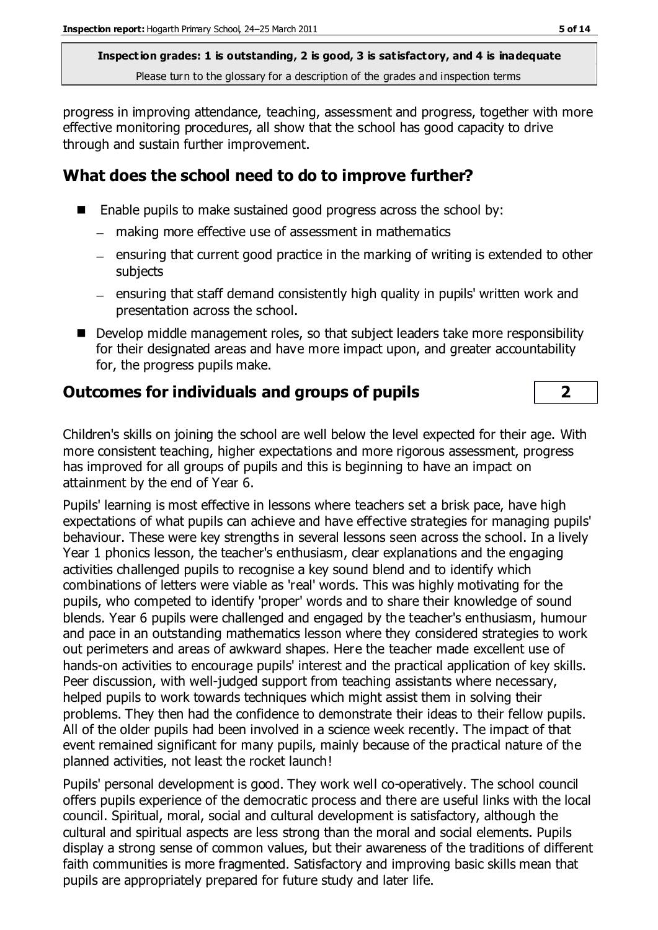progress in improving attendance, teaching, assessment and progress, together with more effective monitoring procedures, all show that the school has good capacity to drive through and sustain further improvement.

## **What does the school need to do to improve further?**

- Enable pupils to make sustained good progress across the school by:
	- making more effective use of assessment in mathematics
	- $-$  ensuring that current good practice in the marking of writing is extended to other subjects
	- ensuring that staff demand consistently high quality in pupils' written work and presentation across the school.
- Develop middle management roles, so that subject leaders take more responsibility for their designated areas and have more impact upon, and greater accountability for, the progress pupils make.

## **Outcomes for individuals and groups of pupils 2**

Children's skills on joining the school are well below the level expected for their age. With more consistent teaching, higher expectations and more rigorous assessment, progress has improved for all groups of pupils and this is beginning to have an impact on attainment by the end of Year 6.

Pupils' learning is most effective in lessons where teachers set a brisk pace, have high expectations of what pupils can achieve and have effective strategies for managing pupils' behaviour. These were key strengths in several lessons seen across the school. In a lively Year 1 phonics lesson, the teacher's enthusiasm, clear explanations and the engaging activities challenged pupils to recognise a key sound blend and to identify which combinations of letters were viable as 'real' words. This was highly motivating for the pupils, who competed to identify 'proper' words and to share their knowledge of sound blends. Year 6 pupils were challenged and engaged by the teacher's enthusiasm, humour and pace in an outstanding mathematics lesson where they considered strategies to work out perimeters and areas of awkward shapes. Here the teacher made excellent use of hands-on activities to encourage pupils' interest and the practical application of key skills. Peer discussion, with well-judged support from teaching assistants where necessary, helped pupils to work towards techniques which might assist them in solving their problems. They then had the confidence to demonstrate their ideas to their fellow pupils. All of the older pupils had been involved in a science week recently. The impact of that event remained significant for many pupils, mainly because of the practical nature of the planned activities, not least the rocket launch!

Pupils' personal development is good. They work well co-operatively. The school council offers pupils experience of the democratic process and there are useful links with the local council. Spiritual, moral, social and cultural development is satisfactory, although the cultural and spiritual aspects are less strong than the moral and social elements. Pupils display a strong sense of common values, but their awareness of the traditions of different faith communities is more fragmented. Satisfactory and improving basic skills mean that pupils are appropriately prepared for future study and later life.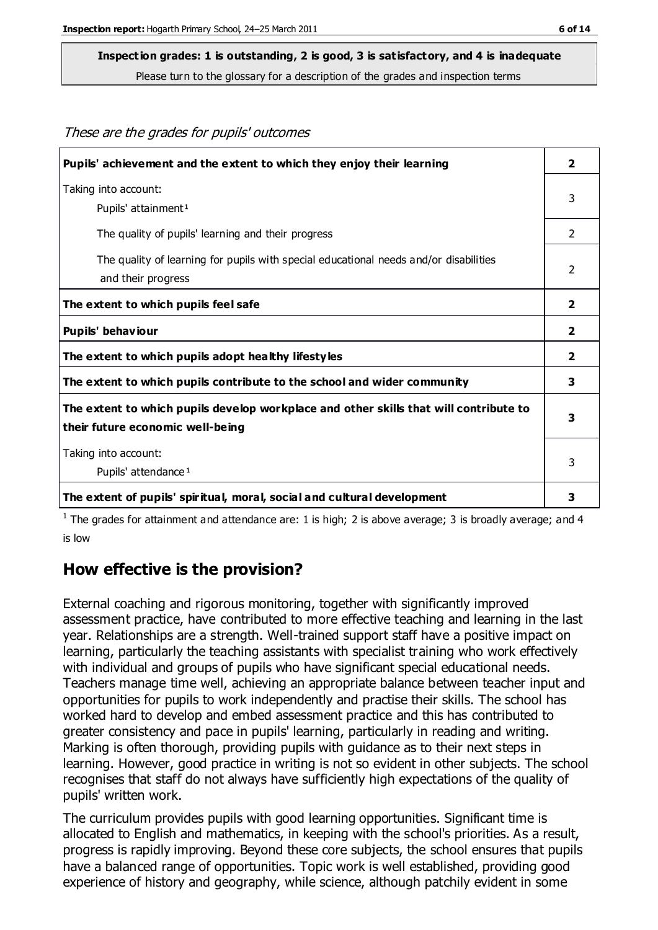These are the grades for pupils' outcomes

#### **Inspection grades: 1 is outstanding, 2 is good, 3 is satisfactory, and 4 is inadequate**

Please turn to the glossary for a description of the grades and inspection terms

| Pupils' achievement and the extent to which they enjoy their learning                                                     | $\overline{\mathbf{2}}$ |
|---------------------------------------------------------------------------------------------------------------------------|-------------------------|
| Taking into account:<br>Pupils' attainment <sup>1</sup>                                                                   | 3                       |
| The quality of pupils' learning and their progress                                                                        | $\overline{2}$          |
| The quality of learning for pupils with special educational needs and/or disabilities<br>and their progress               | 2                       |
| The extent to which pupils feel safe                                                                                      | $\overline{2}$          |
| Pupils' behaviour                                                                                                         | 2                       |
| The extent to which pupils adopt healthy lifestyles                                                                       | $\mathbf{2}$            |
| The extent to which pupils contribute to the school and wider community                                                   | 3                       |
| The extent to which pupils develop workplace and other skills that will contribute to<br>their future economic well-being |                         |
| Taking into account:<br>Pupils' attendance <sup>1</sup>                                                                   | 3                       |
| The extent of pupils' spiritual, moral, social and cultural development                                                   | 3                       |

<sup>1</sup> The grades for attainment and attendance are: 1 is high; 2 is above average; 3 is broadly average; and 4 is low

#### **How effective is the provision?**

External coaching and rigorous monitoring, together with significantly improved assessment practice, have contributed to more effective teaching and learning in the last year. Relationships are a strength. Well-trained support staff have a positive impact on learning, particularly the teaching assistants with specialist training who work effectively with individual and groups of pupils who have significant special educational needs. Teachers manage time well, achieving an appropriate balance between teacher input and opportunities for pupils to work independently and practise their skills. The school has worked hard to develop and embed assessment practice and this has contributed to greater consistency and pace in pupils' learning, particularly in reading and writing. Marking is often thorough, providing pupils with guidance as to their next steps in learning. However, good practice in writing is not so evident in other subjects. The school recognises that staff do not always have sufficiently high expectations of the quality of pupils' written work.

The curriculum provides pupils with good learning opportunities. Significant time is allocated to English and mathematics, in keeping with the school's priorities. As a result, progress is rapidly improving. Beyond these core subjects, the school ensures that pupils have a balanced range of opportunities. Topic work is well established, providing good experience of history and geography, while science, although patchily evident in some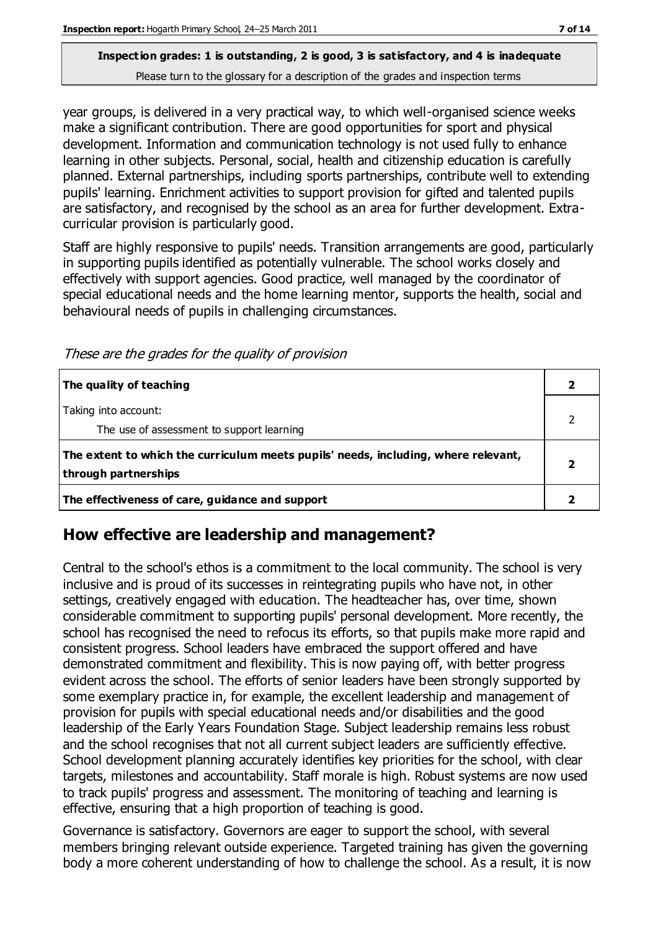year groups, is delivered in a very practical way, to which well-organised science weeks make a significant contribution. There are good opportunities for sport and physical development. Information and communication technology is not used fully to enhance learning in other subjects. Personal, social, health and citizenship education is carefully planned. External partnerships, including sports partnerships, contribute well to extending pupils' learning. Enrichment activities to support provision for gifted and talented pupils are satisfactory, and recognised by the school as an area for further development. Extracurricular provision is particularly good.

Staff are highly responsive to pupils' needs. Transition arrangements are good, particularly in supporting pupils identified as potentially vulnerable. The school works closely and effectively with support agencies. Good practice, well managed by the coordinator of special educational needs and the home learning mentor, supports the health, social and behavioural needs of pupils in challenging circumstances.

These are the grades for the quality of provision

| The quality of teaching                                                                                    |  |
|------------------------------------------------------------------------------------------------------------|--|
| Taking into account:<br>The use of assessment to support learning                                          |  |
| The extent to which the curriculum meets pupils' needs, including, where relevant,<br>through partnerships |  |
| The effectiveness of care, guidance and support                                                            |  |

## **How effective are leadership and management?**

Central to the school's ethos is a commitment to the local community. The school is very inclusive and is proud of its successes in reintegrating pupils who have not, in other settings, creatively engaged with education. The headteacher has, over time, shown considerable commitment to supporting pupils' personal development. More recently, the school has recognised the need to refocus its efforts, so that pupils make more rapid and consistent progress. School leaders have embraced the support offered and have demonstrated commitment and flexibility. This is now paying off, with better progress evident across the school. The efforts of senior leaders have been strongly supported by some exemplary practice in, for example, the excellent leadership and management of provision for pupils with special educational needs and/or disabilities and the good leadership of the Early Years Foundation Stage. Subject leadership remains less robust and the school recognises that not all current subject leaders are sufficiently effective. School development planning accurately identifies key priorities for the school, with clear targets, milestones and accountability. Staff morale is high. Robust systems are now used to track pupils' progress and assessment. The monitoring of teaching and learning is effective, ensuring that a high proportion of teaching is good.

Governance is satisfactory. Governors are eager to support the school, with several members bringing relevant outside experience. Targeted training has given the governing body a more coherent understanding of how to challenge the school. As a result, it is now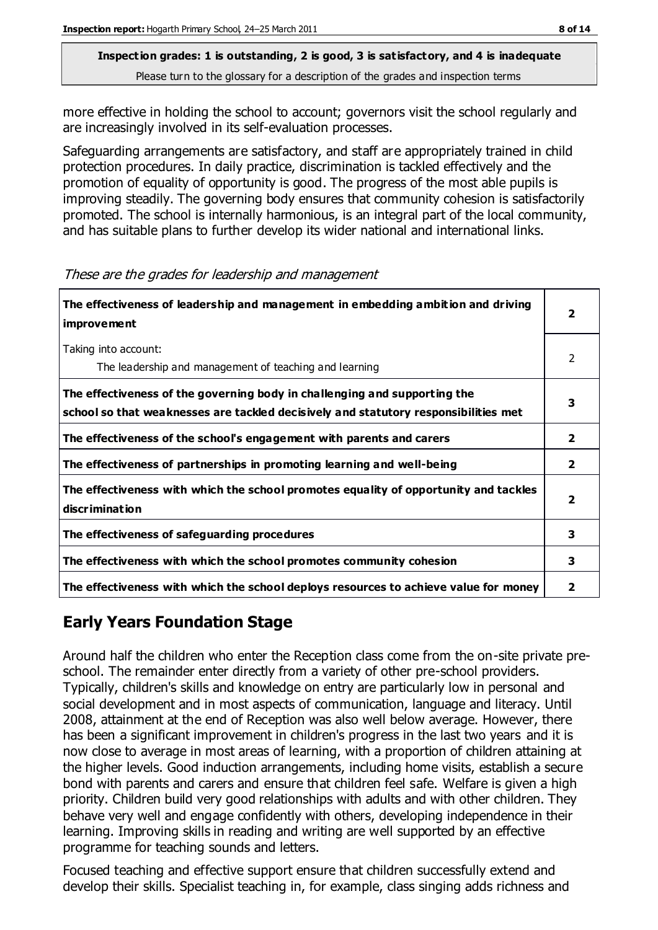more effective in holding the school to account; governors visit the school regularly and are increasingly involved in its self-evaluation processes.

Safeguarding arrangements are satisfactory, and staff are appropriately trained in child protection procedures. In daily practice, discrimination is tackled effectively and the promotion of equality of opportunity is good. The progress of the most able pupils is improving steadily. The governing body ensures that community cohesion is satisfactorily promoted. The school is internally harmonious, is an integral part of the local community, and has suitable plans to further develop its wider national and international links.

| The effectiveness of leadership and management in embedding ambition and driving<br><b>improvement</b>                                                           |                         |
|------------------------------------------------------------------------------------------------------------------------------------------------------------------|-------------------------|
| Taking into account:<br>The leadership and management of teaching and learning                                                                                   | 2                       |
| The effectiveness of the governing body in challenging and supporting the<br>school so that weaknesses are tackled decisively and statutory responsibilities met | 3                       |
| The effectiveness of the school's engagement with parents and carers                                                                                             | $\overline{\mathbf{2}}$ |
| The effectiveness of partnerships in promoting learning and well-being                                                                                           | $\mathbf{2}$            |
| The effectiveness with which the school promotes equality of opportunity and tackles<br>discrimination                                                           | $\overline{\mathbf{2}}$ |
| The effectiveness of safeguarding procedures                                                                                                                     | 3                       |
| The effectiveness with which the school promotes community cohesion                                                                                              | 3                       |
| The effectiveness with which the school deploys resources to achieve value for money                                                                             | $\overline{\mathbf{2}}$ |

#### These are the grades for leadership and management

## **Early Years Foundation Stage**

Around half the children who enter the Reception class come from the on-site private preschool. The remainder enter directly from a variety of other pre-school providers. Typically, children's skills and knowledge on entry are particularly low in personal and social development and in most aspects of communication, language and literacy. Until 2008, attainment at the end of Reception was also well below average. However, there has been a significant improvement in children's progress in the last two years and it is now close to average in most areas of learning, with a proportion of children attaining at the higher levels. Good induction arrangements, including home visits, establish a secure bond with parents and carers and ensure that children feel safe. Welfare is given a high priority. Children build very good relationships with adults and with other children. They behave very well and engage confidently with others, developing independence in their learning. Improving skills in reading and writing are well supported by an effective programme for teaching sounds and letters.

Focused teaching and effective support ensure that children successfully extend and develop their skills. Specialist teaching in, for example, class singing adds richness and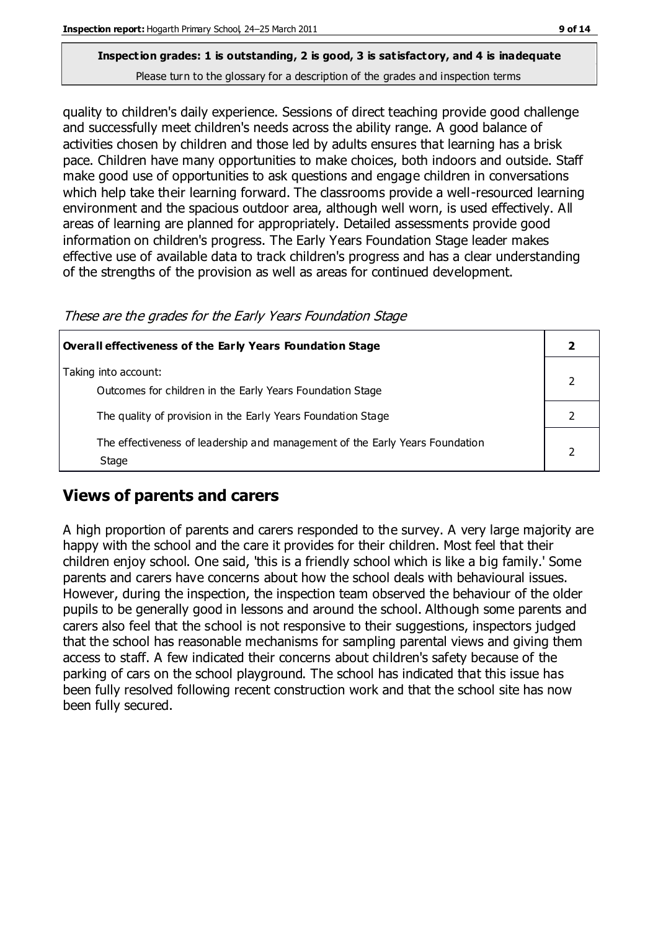quality to children's daily experience. Sessions of direct teaching provide good challenge and successfully meet children's needs across the ability range. A good balance of activities chosen by children and those led by adults ensures that learning has a brisk pace. Children have many opportunities to make choices, both indoors and outside. Staff make good use of opportunities to ask questions and engage children in conversations which help take their learning forward. The classrooms provide a well-resourced learning environment and the spacious outdoor area, although well worn, is used effectively. All areas of learning are planned for appropriately. Detailed assessments provide good information on children's progress. The Early Years Foundation Stage leader makes effective use of available data to track children's progress and has a clear understanding of the strengths of the provision as well as areas for continued development.

These are the grades for the Early Years Foundation Stage

| <b>Overall effectiveness of the Early Years Foundation Stage</b>                      |  |
|---------------------------------------------------------------------------------------|--|
| Taking into account:<br>Outcomes for children in the Early Years Foundation Stage     |  |
| The quality of provision in the Early Years Foundation Stage                          |  |
| The effectiveness of leadership and management of the Early Years Foundation<br>Stage |  |

## **Views of parents and carers**

A high proportion of parents and carers responded to the survey. A very large majority are happy with the school and the care it provides for their children. Most feel that their children enjoy school. One said, 'this is a friendly school which is like a big family.' Some parents and carers have concerns about how the school deals with behavioural issues. However, during the inspection, the inspection team observed the behaviour of the older pupils to be generally good in lessons and around the school. Although some parents and carers also feel that the school is not responsive to their suggestions, inspectors judged that the school has reasonable mechanisms for sampling parental views and giving them access to staff. A few indicated their concerns about children's safety because of the parking of cars on the school playground. The school has indicated that this issue has been fully resolved following recent construction work and that the school site has now been fully secured.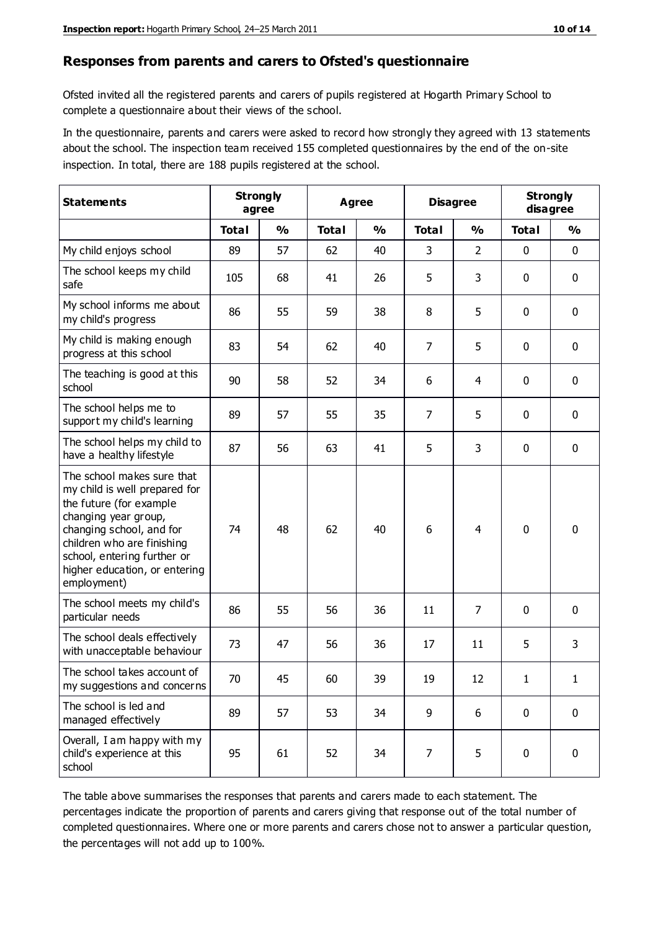#### **Responses from parents and carers to Ofsted's questionnaire**

Ofsted invited all the registered parents and carers of pupils registered at Hogarth Primary School to complete a questionnaire about their views of the school.

In the questionnaire, parents and carers were asked to record how strongly they agreed with 13 statements about the school. The inspection team received 155 completed questionnaires by the end of the on-site inspection. In total, there are 188 pupils registered at the school.

| <b>Statements</b>                                                                                                                                                                                                                                       | <b>Strongly</b><br>agree |               | <b>Agree</b> |               | <b>Disagree</b> |                | <b>Strongly</b><br>disagree |             |
|---------------------------------------------------------------------------------------------------------------------------------------------------------------------------------------------------------------------------------------------------------|--------------------------|---------------|--------------|---------------|-----------------|----------------|-----------------------------|-------------|
|                                                                                                                                                                                                                                                         | <b>Total</b>             | $\frac{1}{2}$ | <b>Total</b> | $\frac{1}{2}$ | <b>Total</b>    | $\frac{1}{2}$  | <b>Total</b>                | %           |
| My child enjoys school                                                                                                                                                                                                                                  | 89                       | 57            | 62           | 40            | 3               | $\overline{2}$ | $\mathbf 0$                 | $\mathbf 0$ |
| The school keeps my child<br>safe                                                                                                                                                                                                                       | 105                      | 68            | 41           | 26            | 5               | 3              | 0                           | $\mathbf 0$ |
| My school informs me about<br>my child's progress                                                                                                                                                                                                       | 86                       | 55            | 59           | 38            | 8               | 5              | $\mathbf{0}$                | $\mathbf 0$ |
| My child is making enough<br>progress at this school                                                                                                                                                                                                    | 83                       | 54            | 62           | 40            | 7               | 5              | $\mathbf 0$                 | $\mathbf 0$ |
| The teaching is good at this<br>school                                                                                                                                                                                                                  | 90                       | 58            | 52           | 34            | 6               | $\overline{4}$ | $\mathbf 0$                 | $\mathbf 0$ |
| The school helps me to<br>support my child's learning                                                                                                                                                                                                   | 89                       | 57            | 55           | 35            | $\overline{7}$  | 5              | $\mathbf 0$                 | $\mathbf 0$ |
| The school helps my child to<br>have a healthy lifestyle                                                                                                                                                                                                | 87                       | 56            | 63           | 41            | 5               | 3              | $\mathbf 0$                 | $\mathbf 0$ |
| The school makes sure that<br>my child is well prepared for<br>the future (for example<br>changing year group,<br>changing school, and for<br>children who are finishing<br>school, entering further or<br>higher education, or entering<br>employment) | 74                       | 48            | 62           | 40            | 6               | 4              | $\mathbf 0$                 | $\mathbf 0$ |
| The school meets my child's<br>particular needs                                                                                                                                                                                                         | 86                       | 55            | 56           | 36            | 11              | $\overline{7}$ | $\mathbf 0$                 | $\mathbf 0$ |
| The school deals effectively<br>with unacceptable behaviour                                                                                                                                                                                             | 73                       | 47            | 56           | 36            | 17              | 11             | 5                           | 3           |
| The school takes account of<br>my suggestions and concerns                                                                                                                                                                                              | 70                       | 45            | 60           | 39            | 19              | 12             | 1                           | 1           |
| The school is led and<br>managed effectively                                                                                                                                                                                                            | 89                       | 57            | 53           | 34            | 9               | 6              | $\mathbf 0$                 | $\mathbf 0$ |
| Overall, I am happy with my<br>child's experience at this<br>school                                                                                                                                                                                     | 95                       | 61            | 52           | 34            | 7               | 5              | $\mathbf 0$                 | $\mathbf 0$ |

The table above summarises the responses that parents and carers made to each statement. The percentages indicate the proportion of parents and carers giving that response out of the total number of completed questionnaires. Where one or more parents and carers chose not to answer a particular question, the percentages will not add up to 100%.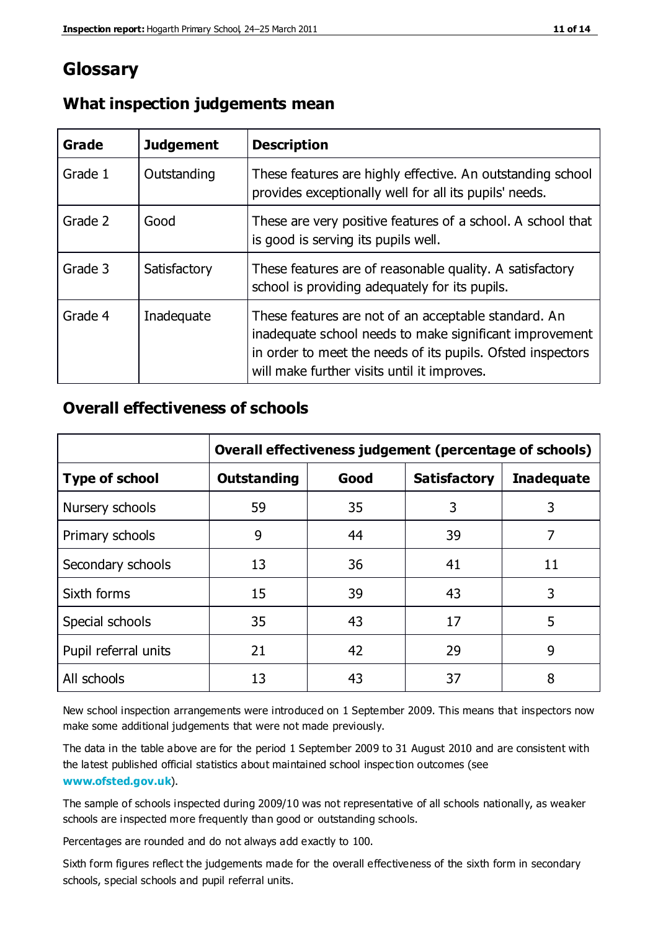## **Glossary**

| Grade   | <b>Judgement</b> | <b>Description</b>                                                                                                                                                                                                            |
|---------|------------------|-------------------------------------------------------------------------------------------------------------------------------------------------------------------------------------------------------------------------------|
| Grade 1 | Outstanding      | These features are highly effective. An outstanding school<br>provides exceptionally well for all its pupils' needs.                                                                                                          |
| Grade 2 | Good             | These are very positive features of a school. A school that<br>is good is serving its pupils well.                                                                                                                            |
| Grade 3 | Satisfactory     | These features are of reasonable quality. A satisfactory<br>school is providing adequately for its pupils.                                                                                                                    |
| Grade 4 | Inadequate       | These features are not of an acceptable standard. An<br>inadequate school needs to make significant improvement<br>in order to meet the needs of its pupils. Ofsted inspectors<br>will make further visits until it improves. |

## **What inspection judgements mean**

## **Overall effectiveness of schools**

|                       | Overall effectiveness judgement (percentage of schools) |      |                     |                   |
|-----------------------|---------------------------------------------------------|------|---------------------|-------------------|
| <b>Type of school</b> | <b>Outstanding</b>                                      | Good | <b>Satisfactory</b> | <b>Inadequate</b> |
| Nursery schools       | 59                                                      | 35   | 3                   | 3                 |
| Primary schools       | 9                                                       | 44   | 39                  | 7                 |
| Secondary schools     | 13                                                      | 36   | 41                  | 11                |
| Sixth forms           | 15                                                      | 39   | 43                  | 3                 |
| Special schools       | 35                                                      | 43   | 17                  | 5                 |
| Pupil referral units  | 21                                                      | 42   | 29                  | 9                 |
| All schools           | 13                                                      | 43   | 37                  | 8                 |

New school inspection arrangements were introduced on 1 September 2009. This means that inspectors now make some additional judgements that were not made previously.

The data in the table above are for the period 1 September 2009 to 31 August 2010 and are consistent with the latest published official statistics about maintained school inspec tion outcomes (see **[www.ofsted.gov.uk](http://www.ofsted.gov.uk/)**).

The sample of schools inspected during 2009/10 was not representative of all schools nationally, as weaker schools are inspected more frequently than good or outstanding schools.

Percentages are rounded and do not always add exactly to 100.

Sixth form figures reflect the judgements made for the overall effectiveness of the sixth form in secondary schools, special schools and pupil referral units.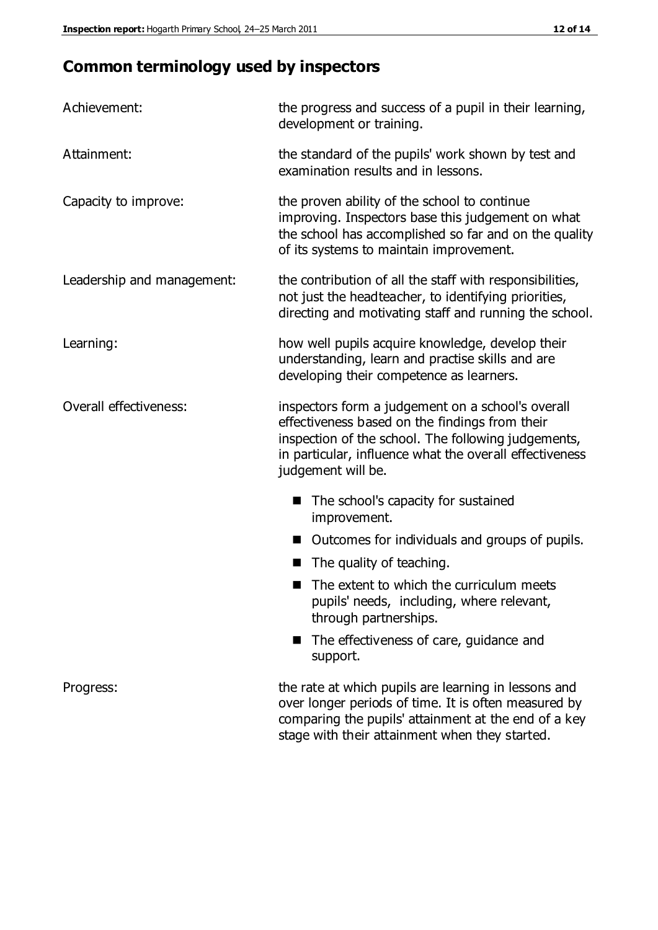# **Common terminology used by inspectors**

| Achievement:                  | the progress and success of a pupil in their learning,<br>development or training.                                                                                                                                                          |  |  |
|-------------------------------|---------------------------------------------------------------------------------------------------------------------------------------------------------------------------------------------------------------------------------------------|--|--|
| Attainment:                   | the standard of the pupils' work shown by test and<br>examination results and in lessons.                                                                                                                                                   |  |  |
| Capacity to improve:          | the proven ability of the school to continue<br>improving. Inspectors base this judgement on what<br>the school has accomplished so far and on the quality<br>of its systems to maintain improvement.                                       |  |  |
| Leadership and management:    | the contribution of all the staff with responsibilities,<br>not just the headteacher, to identifying priorities,<br>directing and motivating staff and running the school.                                                                  |  |  |
| Learning:                     | how well pupils acquire knowledge, develop their<br>understanding, learn and practise skills and are<br>developing their competence as learners.                                                                                            |  |  |
| <b>Overall effectiveness:</b> | inspectors form a judgement on a school's overall<br>effectiveness based on the findings from their<br>inspection of the school. The following judgements,<br>in particular, influence what the overall effectiveness<br>judgement will be. |  |  |
|                               | The school's capacity for sustained<br>improvement.                                                                                                                                                                                         |  |  |
|                               | Outcomes for individuals and groups of pupils.                                                                                                                                                                                              |  |  |
|                               | The quality of teaching.                                                                                                                                                                                                                    |  |  |
|                               | The extent to which the curriculum meets<br>pupils' needs, including, where relevant,<br>through partnerships.                                                                                                                              |  |  |
|                               | The effectiveness of care, guidance and<br>support.                                                                                                                                                                                         |  |  |
| Progress:                     | the rate at which pupils are learning in lessons and<br>over longer periods of time. It is often measured by<br>comparing the pupils' attainment at the end of a key                                                                        |  |  |

stage with their attainment when they started.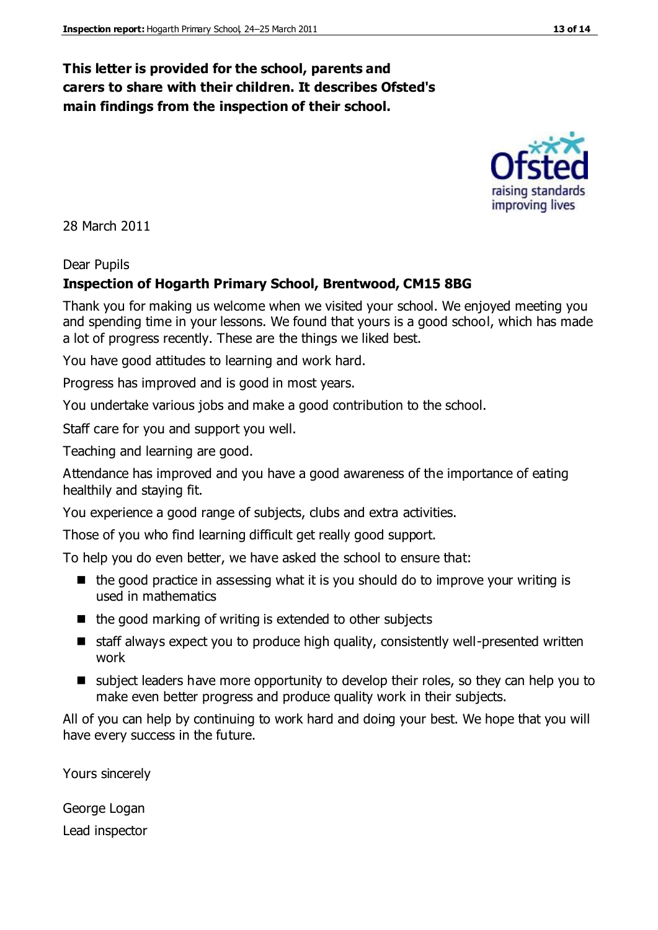## **This letter is provided for the school, parents and carers to share with their children. It describes Ofsted's main findings from the inspection of their school.**

28 March 2011

#### Dear Pupils

#### **Inspection of Hogarth Primary School, Brentwood, CM15 8BG**

Thank you for making us welcome when we visited your school. We enjoyed meeting you and spending time in your lessons. We found that yours is a good school, which has made a lot of progress recently. These are the things we liked best.

You have good attitudes to learning and work hard.

Progress has improved and is good in most years.

You undertake various jobs and make a good contribution to the school.

Staff care for you and support you well.

Teaching and learning are good.

Attendance has improved and you have a good awareness of the importance of eating healthily and staying fit.

You experience a good range of subjects, clubs and extra activities.

Those of you who find learning difficult get really good support.

To help you do even better, we have asked the school to ensure that:

- $\blacksquare$  the good practice in assessing what it is you should do to improve your writing is used in mathematics
- $\blacksquare$  the good marking of writing is extended to other subjects
- staff always expect you to produce high quality, consistently well-presented written work
- subject leaders have more opportunity to develop their roles, so they can help you to make even better progress and produce quality work in their subjects.

All of you can help by continuing to work hard and doing your best. We hope that you will have every success in the future.

Yours sincerely

George Logan Lead inspector